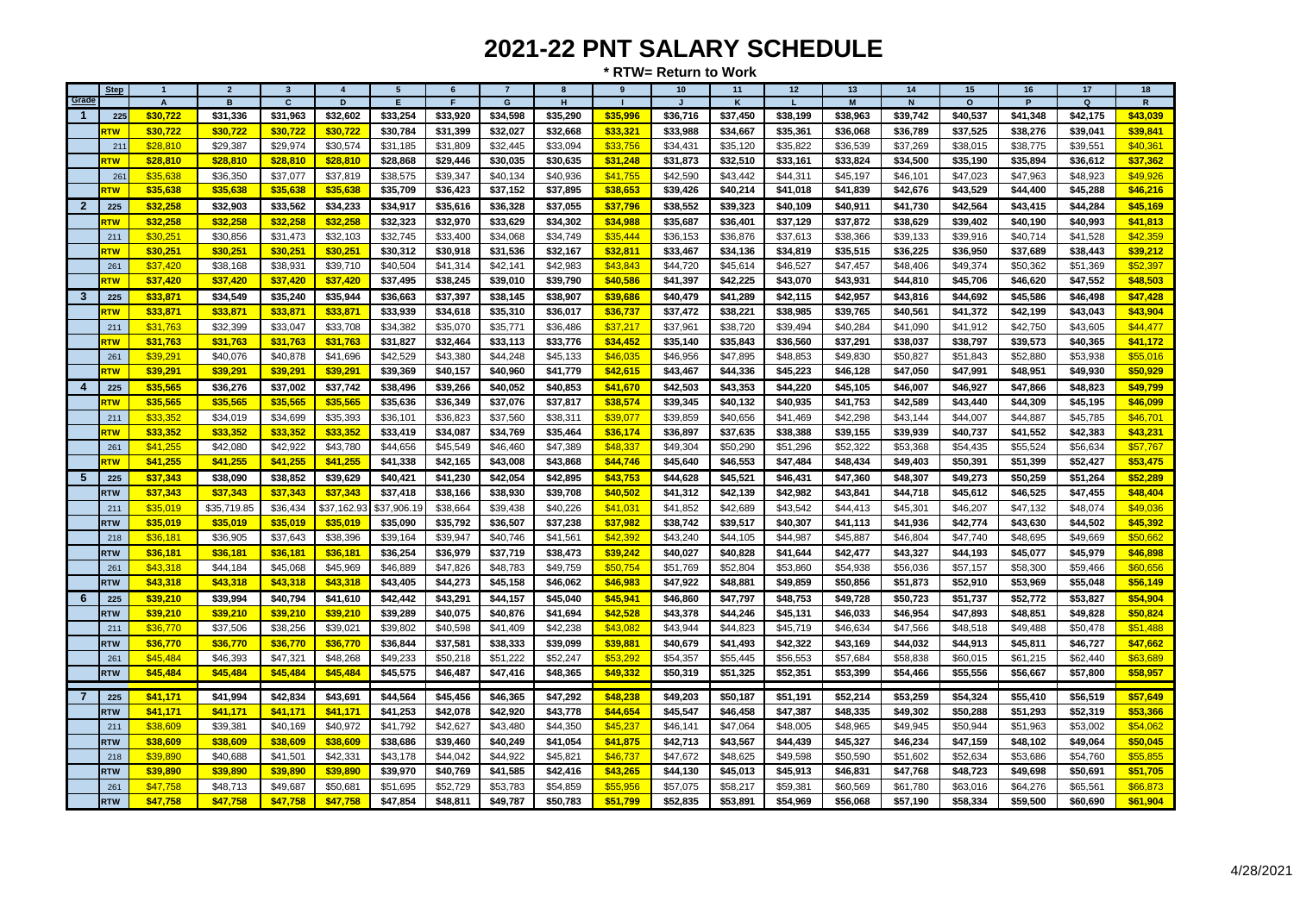| Grade        | <b>Step</b>       | $\overline{1}$                        | $\overline{2}$             | $\overline{\mathbf{3}}$    | $\overline{4}$             | $5\overline{5}$ | 6              | $\overline{7}$             | 8             | 9        | 10 <sup>1</sup><br>$\overline{1}$ | 11                       | 12                       | 13                         | 14                       | 15                   | 16            | 17                         | 18                         |
|--------------|-------------------|---------------------------------------|----------------------------|----------------------------|----------------------------|-----------------|----------------|----------------------------|---------------|----------|-----------------------------------|--------------------------|--------------------------|----------------------------|--------------------------|----------------------|---------------|----------------------------|----------------------------|
|              |                   | $\boldsymbol{\mathsf{A}}$<br>\$30,722 | $\overline{B}$<br>\$31,336 | $\overline{c}$<br>\$31,963 | $\overline{D}$<br>\$32,602 | F<br>\$33,254   | F.<br>\$33,920 | $\overline{G}$<br>\$34,598 | H<br>\$35,290 | \$35,996 | \$36,716                          | $\mathbf{k}$<br>\$37,450 | $\mathbf{L}$<br>\$38,199 | $\overline{M}$<br>\$38,963 | $\mathsf{N}$<br>\$39,742 | $\Omega$<br>\$40,537 | P<br>\$41,348 | $\overline{a}$<br>\$42,175 | $\overline{R}$<br>\$43,039 |
| $\mathbf{1}$ | 225<br><b>NTS</b> | \$30,722                              | \$30,722                   | \$30,722                   | \$30,722                   | \$30,784        | \$31,399       | \$32,027                   | \$32,668      | \$33,321 | \$33,988                          | \$34,667                 | \$35,361                 | \$36,068                   | \$36,789                 | \$37,525             | \$38,276      | \$39,041                   | \$39,841                   |
|              | 21                | \$28,810                              | \$29,387                   | \$29,974                   | \$30,574                   | \$31,185        | \$31,809       | \$32,445                   | \$33,094      | \$33,756 | \$34,431                          | \$35,120                 | \$35,822                 | \$36,539                   | \$37,269                 | \$38,015             | \$38,775      | \$39,551                   | \$40,361                   |
|              | <b>RTW</b>        | \$28,810                              | \$28,810                   | \$28,810                   | \$28,810                   | \$28,868        | \$29,446       | \$30,035                   | \$30,635      | \$31,248 | \$31,873                          | \$32,510                 | \$33,161                 | \$33,824                   | \$34,500                 | \$35,190             | \$35,894      | \$36,612                   | \$37,362                   |
|              | 26 <sup>°</sup>   | \$35,638                              | \$36,350                   | \$37,077                   | \$37,819                   | \$38,575        | \$39,347       | \$40,134                   | \$40,936      | \$41,755 | \$42,590                          | \$43,442                 | \$44,311                 | \$45,197                   | \$46,101                 | \$47,023             | \$47,963      | \$48,923                   | \$49,926                   |
|              | <b>RTW</b>        | \$35,638                              | \$35,638                   | \$35,638                   | \$35,638                   | \$35,709        | \$36,423       | \$37,152                   | \$37,895      | \$38,653 | \$39,426                          | \$40,214                 | \$41,018                 | \$41,839                   | \$42,676                 | \$43,529             | \$44,400      | \$45,288                   | \$46,216                   |
| $\mathbf{2}$ | 225               | \$32,258                              | \$32,903                   | \$33,562                   | \$34,233                   | \$34,917        | \$35,616       | \$36,328                   | \$37,055      | \$37,796 | \$38,552                          | \$39,323                 | \$40,109                 | \$40,911                   | \$41,730                 | \$42,564             | \$43,415      | \$44,284                   | \$45,169                   |
|              | <b>TW</b>         | \$32,258                              | \$32,258                   | \$32,258                   | \$32,258                   | \$32,323        | \$32,970       | \$33,629                   | \$34,302      | \$34,988 | \$35,687                          | \$36,401                 | \$37,129                 | \$37,872                   | \$38,629                 | \$39,402             | \$40,190      | \$40,993                   | \$41,813                   |
|              | 211               | \$30,251                              | \$30,856                   | \$31,473                   | \$32,103                   | \$32,745        | \$33,400       | \$34,068                   | \$34,749      | \$35,444 | \$36,153                          | \$36,876                 | \$37,613                 | \$38,366                   | \$39,133                 | \$39,916             | \$40,714      | \$41,528                   | \$42,359                   |
|              | <b>RTW</b>        | \$30,251                              | \$30,251                   | \$30,251                   | \$30,251                   | \$30,312        | \$30,918       | \$31,536                   | \$32,167      | \$32,811 | \$33,467                          | \$34,136                 | \$34,819                 | \$35,515                   | \$36,225                 | \$36,950             | \$37,689      | \$38,443                   | \$39,212                   |
|              | 261               | \$37,420                              | \$38,168                   | \$38,931                   | \$39,710                   | \$40,504        | \$41,314       | \$42,141                   | \$42,983      | \$43,843 | \$44,720                          | \$45,614                 | \$46,527                 | \$47,457                   | \$48,406                 | \$49,374             | \$50,362      | \$51,369                   | \$52,397                   |
|              | <b>RTW</b>        | \$37,420                              | \$37,420                   | \$37,420                   | \$37,420                   | \$37,495        | \$38,245       | \$39,010                   | \$39,790      | \$40,586 | \$41,397                          | \$42,225                 | \$43,070                 | \$43,931                   | \$44,810                 | \$45,706             | \$46,620      | \$47,552                   | \$48,503                   |
| $\mathbf{3}$ | 225               | \$33,871                              | \$34,549                   | \$35,240                   | \$35,944                   | \$36,663        | \$37,397       | \$38,145                   | \$38,907      | \$39,686 | \$40,479                          | \$41,289                 | \$42,115                 | \$42,957                   | \$43,816                 | \$44,692             | \$45,586      | \$46,498                   | \$47,428                   |
|              | <b>NTS</b>        | \$33,871                              | \$33,871                   | \$33,871                   | \$33,871                   | \$33,939        | \$34,618       | \$35,310                   | \$36,017      | \$36,737 | \$37,472                          | \$38,221                 | \$38,985                 | \$39,765                   | \$40,561                 | \$41,372             | \$42,199      | \$43,043                   | \$43,904                   |
|              | 211               | \$31,763                              | \$32,399                   | \$33,047                   | \$33,708                   | \$34,382        | \$35,070       | \$35,771                   | \$36,486      | \$37,217 | \$37,961                          | \$38,720                 | \$39,494                 | \$40,284                   | \$41,090                 | \$41,912             | \$42,750      | \$43,605                   | \$44,477                   |
|              | <u>राण</u>        | \$31,763                              | \$31,763                   | \$31,763                   | \$31,763                   | \$31,827        | \$32,464       | \$33,113                   | \$33,776      | \$34,452 | \$35,140                          | \$35,843                 | \$36,560                 | \$37,291                   | \$38,037                 | \$38,797             | \$39,573      | \$40,365                   | \$41,172                   |
|              | 261               | \$39,291                              | \$40,076                   | \$40,878                   | \$41,696                   | \$42,529        | \$43,380       | \$44,248                   | \$45,133      | \$46,035 | \$46,956                          | \$47,895                 | \$48,853                 | \$49,830                   | \$50,827                 | \$51,843             | \$52,880      | \$53,938                   | \$55,016                   |
|              | <b>RTW</b>        | \$39,291                              | \$39,291                   | \$39,291                   | \$39,291                   | \$39,369        | \$40,157       | \$40,960                   | \$41,779      | \$42,615 | \$43,467                          | \$44,336                 | \$45,223                 | \$46,128                   | \$47,050                 | \$47,991             | \$48,951      | \$49,930                   | \$50,929                   |
| 4            | 225               | \$35,565                              | \$36,276                   | \$37,002                   | \$37,742                   | \$38,496        | \$39,266       | \$40,052                   | \$40,853      | \$41,670 | \$42,503                          | \$43,353                 | \$44,220                 | \$45,105                   | \$46,007                 | \$46,927             | \$47,866      | \$48,823                   | \$49,799                   |
|              | <b>TW</b>         | \$35,565                              | \$35,565                   | \$35,565                   | \$35,565                   | \$35,636        | \$36,349       | \$37,076                   | \$37,817      | \$38,574 | \$39,345                          | \$40,132                 | \$40,935                 | \$41,753                   | \$42,589                 | \$43,440             | \$44,309      | \$45,195                   | \$46,099                   |
|              | 211               | \$33,352                              | \$34,019                   | \$34,699                   | \$35,393                   | \$36,101        | \$36,823       | \$37,560                   | \$38,311      | \$39,077 | \$39,859                          | \$40,656                 | \$41,469                 | \$42,298                   | \$43,144                 | \$44,007             | \$44,887      | \$45,785                   | \$46,701                   |
|              | <b>RTW</b>        | \$33,352                              | \$33,352                   | \$33,352                   | \$33,352                   | \$33,419        | \$34,087       | \$34,769                   | \$35,464      | \$36,174 | \$36,897                          | \$37,635                 | \$38,388                 | \$39,155                   | \$39,939                 | \$40,737             | \$41,552      | \$42,383                   | \$43,231                   |
|              | 261               | \$41,255                              | \$42,080                   | \$42,922                   | \$43,780                   | \$44,656        | \$45,549       | \$46,460                   | \$47,389      | \$48,337 | \$49,304                          | \$50,290                 | \$51,296                 | \$52,322                   | \$53,368                 | \$54,435             | \$55,524      | \$56,634                   | \$57,767                   |
|              | <b>TW</b>         | \$41,255                              | \$41,255                   | \$41,255                   | \$41,255                   | \$41,338        | \$42,165       | \$43,008                   | \$43,868      | \$44,746 | \$45,640                          | \$46,553                 | \$47,484                 | \$48,434                   | \$49,403                 | \$50,391             | \$51,399      | \$52,427                   | \$53,475                   |
| 5            | 225               | \$37,343                              | \$38,090                   | \$38,852                   | \$39,629                   | \$40,421        | \$41,230       | \$42,054                   | \$42,895      | \$43,753 | \$44,628                          | \$45,521                 | \$46,431                 | \$47,360                   | \$48,307                 | \$49,273             | \$50,259      | \$51,264                   | \$52,289                   |
|              | <b>RTW</b>        | \$37,343                              | \$37,343                   | \$37,343                   | \$37,343                   | \$37,418        | \$38,166       | \$38,930                   | \$39,708      | \$40,502 | \$41,312                          | \$42,139                 | \$42,982                 | \$43,841                   | \$44,718                 | \$45,612             | \$46,525      | \$47,455                   | \$48,404                   |
|              | 211               | \$35,019                              | \$35,719.85                | \$36,434                   | \$37,162.93                | \$37,906.19     | \$38,664       | \$39,438                   | \$40,226      | \$41,031 | \$41,852                          | \$42,689                 | \$43,542                 | \$44,413                   | \$45,301                 | \$46,207             | \$47,132      | \$48,074                   | \$49,036                   |
|              | <b>RTW</b>        | \$35,019                              | \$35,019                   | \$35,019                   | \$35,019                   | \$35,090        | \$35,792       | \$36,507                   | \$37,238      | \$37,982 | \$38,742                          | \$39,517                 | \$40,307                 | \$41,113                   | \$41,936                 | \$42,774             | \$43,630      | \$44,502                   | \$45,392                   |
|              | 218               | \$36,181                              | \$36,905                   | \$37,643                   | \$38,396                   | \$39,164        | \$39,947       | \$40,746                   | \$41,561      | \$42,392 | \$43,240                          | \$44,105                 | \$44,987                 | \$45,887                   | \$46,804                 | \$47,740             | \$48,695      | \$49,669                   | \$50,662                   |
|              | <b>RTW</b>        | \$36,181                              | \$36,181                   | \$36,181                   | \$36,181                   | \$36,254        | \$36,979       | \$37,719                   | \$38,473      | \$39,242 | \$40,027                          | \$40,828                 | \$41,644                 | \$42,477                   | \$43,327                 | \$44,193             | \$45,077      | \$45,979                   | \$46,898                   |
|              | 261               | \$43,318                              | \$44,184                   | \$45,068                   | \$45,969                   | \$46,889        | \$47,826       | \$48,783                   | \$49,759      | \$50,754 | \$51,769                          | \$52,804                 | \$53,860                 | \$54,938                   | \$56,036                 | \$57,157             | \$58,300      | \$59,466                   | \$60,656                   |
|              | <b>RTW</b>        | \$43,318                              | \$43,318                   | \$43,318                   | \$43,318                   | \$43,405        | \$44,273       | \$45,158                   | \$46,062      | \$46,983 | \$47,922                          | \$48,881                 | \$49,859                 | \$50,856                   | \$51,873                 | \$52,910             | \$53,969      | \$55,048                   | \$56,149                   |
| 6            | 225               | \$39,210                              | \$39,994                   | \$40,794                   | \$41,610                   | \$42,442        | \$43,291       | \$44,157                   | \$45,040      | \$45,941 | \$46,860                          | \$47,797                 | \$48,753                 | \$49,728                   | \$50,723                 | \$51,737             | \$52,772      | \$53,827                   | \$54,904                   |
|              | <b>RTW</b>        | \$39,210                              | \$39,210                   | \$39,210                   | \$39,210                   | \$39,289        | \$40,075       | \$40,876                   | \$41,694      | \$42,528 | \$43,378                          | \$44,246                 | \$45,131                 | \$46,033                   | \$46,954                 | \$47,893             | \$48,851      | \$49,828                   | \$50,824                   |
|              | 211               | \$36,770                              | \$37,506                   | \$38,256                   | \$39,021                   | \$39,802        | \$40,598       | \$41,409                   | \$42,238      | \$43,082 | \$43,944                          | \$44,823                 | \$45,719                 | \$46,634                   | \$47,566                 | \$48,518             | \$49,488      | \$50,478                   | \$51,488                   |
|              | <b>RTW</b>        | \$36,770                              | \$36,770                   | \$36,770                   | \$36,770                   | \$36,844        | \$37,581       | \$38,333                   | \$39,099      | \$39,881 | \$40,679                          | \$41,493                 | \$42,322                 | \$43,169                   | \$44,032                 | \$44,913             | \$45,811      | \$46,727                   | \$47,662                   |
|              | 261               | \$45,484                              | \$46,393                   | \$47,321                   | \$48,268                   | \$49,233        | \$50,218       | \$51,222                   | \$52,247      | \$53,292 | \$54,357                          | \$55,445                 | \$56,553                 | \$57,684                   | \$58,838                 | \$60,015             | \$61,215      | \$62,440                   | \$63,689                   |
|              | <b>RTW</b>        | \$45,484                              | \$45,484                   | \$45,484                   | \$45,484                   | \$45,575        | \$46,487       | \$47,416                   | \$48,365      | \$49,332 | \$50,319                          | \$51,325                 | \$52,351                 | \$53,399                   | \$54,466                 | \$55,556             | \$56,667      | \$57,800                   | \$58,957                   |
|              |                   |                                       |                            |                            |                            |                 |                |                            |               |          |                                   |                          |                          |                            |                          |                      |               |                            |                            |
|              | 225               | \$41,171                              | \$41,994                   | \$42,834                   | \$43,691                   | \$44,564        | \$45,456       | \$46,365                   | \$47,292      | \$48,238 | \$49,203                          | \$50,187                 | \$51,191                 | \$52,214                   | \$53,259                 | \$54,324             | \$55,410      | \$56,519                   | \$57,649                   |
|              | <b>RTW</b>        | \$41,171                              | \$41,171                   | \$41,171                   | \$41,171                   | \$41,253        | \$42,078       | \$42,920                   | \$43,778      | \$44,654 | \$45,547                          | \$46,458                 | \$47,387                 | \$48,335                   | \$49,302                 | \$50,288             | \$51,293      | \$52,319                   | \$53,366                   |
|              | 211               | \$38,609                              | \$39,381                   | \$40,169                   | \$40,972                   | \$41,792        | \$42,627       | \$43,480                   | \$44.350      | \$45,237 | \$46.141                          | \$47,064                 | \$48,005                 | \$48,965                   | \$49,945                 | \$50,944             | \$51,963      | \$53,002                   | \$54,062                   |
|              | <b>RTW</b>        | \$38,609                              | \$38,609                   | \$38,609                   | \$38,609                   | \$38,686        | \$39,460       | \$40,249                   | \$41,054      | \$41,875 | \$42,713                          | \$43,567                 | \$44,439                 | \$45,327                   | \$46,234                 | \$47,159             | \$48,102      | \$49,064                   | \$50,045                   |
|              | 218               | \$39,890                              | \$40,688                   | \$41,501                   | \$42,331                   | \$43,178        | \$44,042       | \$44,922                   | \$45,821      | \$46,737 | \$47,672                          | \$48,625                 | \$49,598                 | \$50,590                   | \$51,602                 | \$52,634             | \$53,686      | \$54,760                   | \$55,855                   |
|              | <b>RTW</b>        | \$39,890                              | \$39,890                   | \$39,890                   | \$39,890                   | \$39,970        | \$40,769       | \$41,585                   | \$42,416      | \$43,265 | \$44,130                          | \$45,013                 | \$45,913                 | \$46,831                   | \$47,768                 | \$48,723             | \$49,698      | \$50,691                   | \$51,705                   |
|              | 261               | \$47,758                              | \$48,713                   | \$49,687                   | \$50,681                   | \$51,695        | \$52,729       | \$53,783                   | \$54,859      | \$55,956 | \$57,075                          | \$58,217                 | \$59,381                 | \$60,569                   | \$61,780                 | \$63,016             | \$64,276      | \$65,561                   | \$66,873                   |
|              | <b>RTW</b>        | \$47,758                              | \$47,758                   | \$47,758                   | \$47,758                   | \$47,854        | \$48,811       | \$49,787                   | \$50,783      | \$51,799 | \$52,835                          | \$53,891                 | \$54,969                 | \$56,068                   | \$57,190                 | \$58,334             | \$59,500      | \$60,690                   | \$61,904                   |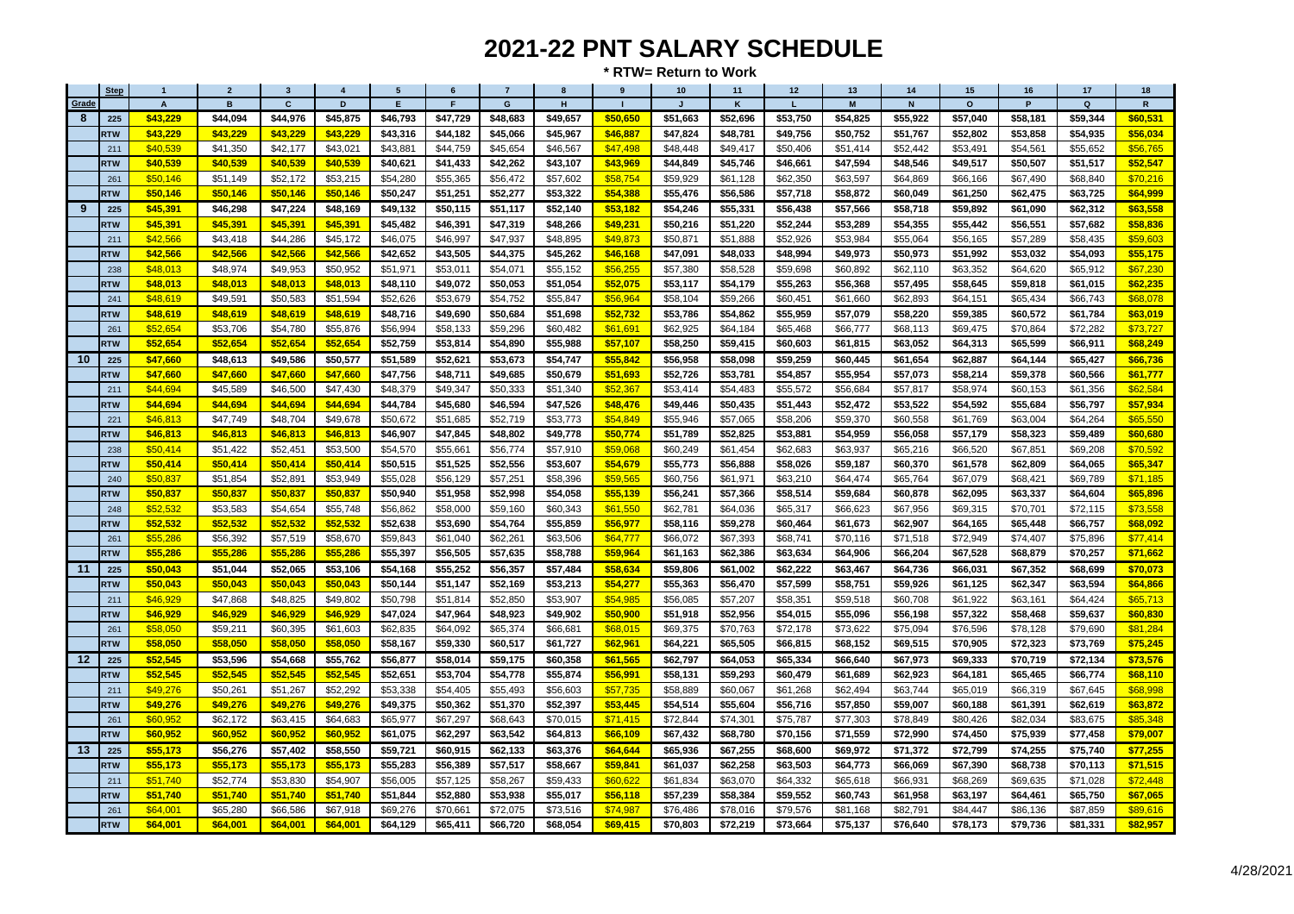| <b>Step</b> | $\overline{1}$ | $\overline{2}$ | $\overline{\mathbf{3}}$ | $\overline{\mathbf{4}}$ | 5        | 6        | $\overline{7}$ | 8              | 9        | 10       | 11       | 12       | 13       | 14          | 15       | 16       | 17          | 18                      |
|-------------|----------------|----------------|-------------------------|-------------------------|----------|----------|----------------|----------------|----------|----------|----------|----------|----------|-------------|----------|----------|-------------|-------------------------|
| Grade       | A              | B              | $\mathbf{c}$            | D                       | E        | F        | $\mathbf G$    | $\overline{H}$ |          |          | K        | L        | M        | $\mathbf N$ | $\circ$  | P        | $\mathbf Q$ | $\overline{\mathsf{R}}$ |
| 8<br>225    | \$43,229       | \$44,094       | \$44,976                | \$45,875                | \$46,793 | \$47,729 | \$48,683       | \$49,657       | \$50,650 | \$51,663 | \$52,696 | \$53,750 | \$54,825 | \$55,922    | \$57,040 | \$58,181 | \$59,344    | \$60,531                |
| <b>RTW</b>  | \$43,229       | \$43,229       | \$43,229                | \$43,229                | \$43,316 | \$44,182 | \$45,066       | \$45,967       | \$46,887 | \$47,824 | \$48,781 | \$49,756 | \$50,752 | \$51,767    | \$52,802 | \$53,858 | \$54,935    | \$56,034                |
| 211         | \$40,539       | \$41,350       | \$42,177                | \$43,021                | \$43,881 | \$44,759 | \$45,654       | \$46,567       | \$47.498 | \$48,448 | \$49,417 | \$50,406 | \$51,414 | \$52,442    | \$53.491 | \$54,561 | \$55,652    | \$56,765                |
| <b>RTW</b>  | \$40,539       | \$40,539       | \$40,539                | \$40,539                | \$40,621 | \$41,433 | \$42,262       | \$43,107       | \$43,969 | \$44,849 | \$45,746 | \$46,661 | \$47,594 | \$48,546    | \$49,517 | \$50,507 | \$51,517    | \$52,547                |
| 261         | \$50,146       | \$51,149       | \$52,172                | \$53,215                | \$54,280 | \$55,365 | \$56,472       | \$57,602       | \$58,754 | \$59,929 | \$61,128 | \$62,350 | \$63,597 | \$64,869    | \$66,166 | \$67,490 | \$68,840    | \$70,216                |
| <b>RTW</b>  | \$50,146       | \$50.146       | \$50,146                | \$50,146                | \$50,247 | \$51,251 | \$52,277       | \$53,322       | \$54,388 | \$55,476 | \$56,586 | \$57,718 | \$58,872 | \$60,049    | \$61,250 | \$62,475 | \$63,725    | \$64,999                |
| 225<br>9    | \$45,391       | \$46,298       | \$47,224                | \$48,169                | \$49,132 | \$50,115 | \$51,117       | \$52,140       | \$53,182 | \$54,246 | \$55,331 | \$56,438 | \$57,566 | \$58,718    | \$59,892 | \$61,090 | \$62,312    | \$63,558                |
| <b>RTW</b>  | \$45,391       | \$45,391       | \$45,391                | \$45,391                | \$45,482 | \$46,391 | \$47,319       | \$48,266       | \$49,231 | \$50,216 | \$51,220 | \$52,244 | \$53,289 | \$54,355    | \$55,442 | \$56,551 | \$57,682    | \$58,836                |
| 211         | \$42,566       | \$43,418       | \$44,286                | \$45,172                | \$46,075 | \$46,997 | \$47,937       | \$48,895       | \$49,873 | \$50,871 | \$51,888 | \$52,926 | \$53,984 | \$55,064    | \$56,165 | \$57,289 | \$58,435    | \$59,603                |
| <b>RTW</b>  | \$42,566       | \$42,566       | \$42,566                | \$42,566                | \$42,652 | \$43,505 | \$44,375       | \$45,262       | \$46,168 | \$47,091 | \$48,033 | \$48,994 | \$49,973 | \$50,973    | \$51,992 | \$53,032 | \$54,093    | \$55,175                |
| 238         | \$48,013       | \$48,974       | \$49,953                | \$50,952                | \$51,971 | \$53,011 | \$54,071       | \$55,152       | \$56.255 | \$57,380 | \$58,528 | \$59,698 | \$60,892 | \$62,110    | \$63,352 | \$64,620 | \$65,912    | \$67,230                |
| <b>RTW</b>  | \$48,013       | \$48,013       | \$48,013                | \$48,013                | \$48,110 | \$49,072 | \$50,053       | \$51,054       | \$52,075 | \$53,117 | \$54,179 | \$55,263 | \$56,368 | \$57,495    | \$58,645 | \$59,818 | \$61,015    | \$62,235                |
| 241         | \$48,619       | \$49,591       | \$50,583                | \$51,594                | \$52,626 | \$53,679 | \$54,752       | \$55,847       | \$56,964 | \$58,104 | \$59,266 | \$60,451 | \$61,660 | \$62,893    | \$64,151 | \$65,434 | \$66,743    | \$68,078                |
| <b>RTW</b>  | \$48,619       | \$48,619       | \$48,619                | \$48,619                | \$48,716 | \$49,690 | \$50,684       | \$51,698       | \$52,732 | \$53,786 | \$54,862 | \$55,959 | \$57,079 | \$58,220    | \$59,385 | \$60,572 | \$61,784    | \$63,019                |
| 261         | \$52.654       | \$53,706       | \$54,780                | \$55,876                | \$56,994 | \$58,133 | \$59,296       | \$60,482       | \$61,691 | \$62,925 | \$64,184 | \$65,468 | \$66,777 | \$68,113    | \$69,475 | \$70,864 | \$72,282    | \$73,727                |
| <b>RTW</b>  | \$52,654       | \$52,654       | \$52,654                | \$52,654                | \$52,759 | \$53,814 | \$54,890       | \$55,988       | \$57,107 | \$58,250 | \$59,415 | \$60,603 | \$61,815 | \$63,052    | \$64,313 | \$65,599 | \$66,911    | \$68,249                |
| 10<br>225   | \$47,660       | \$48,613       | \$49,586                | \$50,577                | \$51,589 | \$52,621 | \$53,673       | \$54,747       | \$55,842 | \$56,958 | \$58,098 | \$59,259 | \$60,445 | \$61,654    | \$62,887 | \$64,144 | \$65,427    | \$66,736                |
| <b>RTW</b>  | \$47,660       | \$47,660       | \$47,660                | \$47,660                | \$47,756 | \$48,711 | \$49,685       | \$50,679       | \$51,693 | \$52,726 | \$53,781 | \$54,857 | \$55,954 | \$57,073    | \$58,214 | \$59,378 | \$60,566    | \$61,777                |
| 211         | \$44,694       | \$45,589       | \$46,500                | \$47,430                | \$48,379 | \$49,347 | \$50,333       | \$51,340       | \$52,367 | \$53,414 | \$54,483 | \$55,572 | \$56,684 | \$57,817    | \$58.974 | \$60,153 | \$61,356    | \$62,584                |
| <b>RTW</b>  | \$44,694       | \$44,694       | \$44,694                | \$44,694                | \$44,784 | \$45,680 | \$46,594       | \$47,526       | \$48,476 | \$49,446 | \$50,435 | \$51,443 | \$52,472 | \$53,522    | \$54,592 | \$55,684 | \$56,797    | \$57,934                |
| 221         | \$46,813       | \$47,749       | \$48,704                | \$49,678                | \$50,672 | \$51,685 | \$52,719       | \$53,773       | \$54,849 | \$55,946 | \$57,065 | \$58,206 | \$59,370 | \$60,558    | \$61,769 | \$63,004 | \$64,264    | \$65,550                |
| <b>RTW</b>  | \$46,813       | \$46,813       | \$46,813                | \$46,813                | \$46,907 | \$47,845 | \$48,802       | \$49,778       | \$50,774 | \$51,789 | \$52,825 | \$53,881 | \$54,959 | \$56,058    | \$57,179 | \$58,323 | \$59,489    | \$60,680                |
| 238         | \$50,414       | \$51,422       | \$52,451                | \$53,500                | \$54,570 | \$55,661 | \$56,774       | \$57,910       | \$59,068 | \$60,249 | \$61,454 | \$62,683 | \$63,937 | \$65,216    | \$66,520 | \$67,851 | \$69,208    | \$70,592                |
| <b>RTW</b>  | \$50,414       | \$50,414       | \$50,414                | \$50,414                | \$50,515 | \$51,525 | \$52,556       | \$53,607       | \$54,679 | \$55,773 | \$56,888 | \$58,026 | \$59,187 | \$60,370    | \$61,578 | \$62,809 | \$64,065    | \$65,347                |
| 240         | \$50,837       | \$51,854       | \$52,891                | \$53,949                | \$55,028 | \$56,129 | \$57,251       | \$58,396       | \$59,565 | \$60,756 | \$61,971 | \$63,210 | \$64,474 | \$65,764    | \$67,079 | \$68,421 | \$69,789    | \$71,185                |
| <b>RTW</b>  | \$50,837       | \$50,837       | \$50,837                | \$50,837                | \$50,940 | \$51,958 | \$52,998       | \$54,058       | \$55,139 | \$56,241 | \$57,366 | \$58,514 | \$59,684 | \$60,878    | \$62,095 | \$63,337 | \$64,604    | \$65,896                |
| 248         | \$52,532       | \$53,583       | \$54,654                | \$55,748                | \$56,862 | \$58,000 | \$59,160       | \$60,343       | \$61,550 | \$62,781 | \$64,036 | \$65,317 | \$66,623 | \$67,956    | \$69,315 | \$70,701 | \$72,115    | \$73,558                |
| <b>RTW</b>  | \$52,532       | \$52,532       | \$52,532                | \$52,532                | \$52,638 | \$53,690 | \$54,764       | \$55,859       | \$56,977 | \$58,116 | \$59.278 | \$60,464 | \$61.673 | \$62.907    | \$64,165 | \$65.448 | \$66,757    | \$68,092                |
| 261         | \$55,286       | \$56,392       | \$57,519                | \$58,670                | \$59,843 | \$61,040 | \$62,261       | \$63,506       | \$64,777 | \$66,072 | \$67,393 | \$68,741 | \$70,116 | \$71,518    | \$72,949 | \$74,407 | \$75,896    | \$77,414                |
| <b>RTW</b>  | \$55,286       | \$55,286       | \$55,286                | \$55,286                | \$55,397 | \$56,505 | \$57,635       | \$58,788       | \$59,964 | \$61,163 | \$62,386 | \$63,634 | \$64,906 | \$66,204    | \$67,528 | \$68,879 | \$70,257    | \$71,662                |
| 11<br>225   | \$50,043       | \$51,044       | \$52,065                | \$53,106                | \$54,168 | \$55,252 | \$56,357       | \$57,484       | \$58,634 | \$59,806 | \$61,002 | \$62,222 | \$63,467 | \$64,736    | \$66,031 | \$67,352 | \$68,699    | \$70,073                |
| <b>RTW</b>  | \$50,043       | \$50,043       | \$50.043                | \$50,043                | \$50,144 | \$51,147 | \$52,169       | \$53,213       | \$54,277 | \$55,363 | \$56.470 | \$57,599 | \$58.751 | \$59.926    | \$61.125 | \$62.347 | \$63,594    | \$64,866                |
| 211         | \$46,929       | \$47,868       | \$48,825                | \$49,802                | \$50,798 | \$51,814 | \$52,850       | \$53,907       | \$54,985 | \$56,085 | \$57,207 | \$58,351 | \$59,518 | \$60,708    | \$61,922 | \$63,161 | \$64,424    | \$65,713                |
| <b>RTW</b>  | \$46,929       | \$46,929       | \$46,929                | \$46,929                | \$47,024 | \$47,964 | \$48,923       | \$49,902       | \$50,900 | \$51,918 | \$52,956 | \$54,015 | \$55,096 | \$56,198    | \$57,322 | \$58,468 | \$59,637    | \$60,830                |
| 261         | \$58,050       | \$59,211       | \$60,395                | \$61,603                | \$62,835 | \$64,092 | \$65,374       | \$66,681       | \$68,015 | \$69,375 | \$70,763 | \$72.178 | \$73.622 | \$75,094    | \$76,596 | \$78,128 | \$79,690    | \$81,284                |
| <b>RTW</b>  | \$58,050       | \$58,050       | \$58,050                | \$58,050                | \$58,167 | \$59,330 | \$60,517       | \$61,727       | \$62,961 | \$64,221 | \$65,505 | \$66,815 | \$68,152 | \$69,515    | \$70,905 | \$72,323 | \$73,769    | \$75,245                |
| 12<br>225   | \$52,545       | \$53,596       | \$54,668                | \$55,762                | \$56,877 | \$58,014 | \$59,175       | \$60,358       | \$61,565 | \$62,797 | \$64,053 | \$65,334 | \$66,640 | \$67,973    | \$69,333 | \$70,719 | \$72,134    | \$73,576                |
| <b>RTW</b>  | \$52,545       | \$52,545       | \$52,545                | \$52,545                | \$52,651 | \$53,704 | \$54,778       | \$55,874       | \$56,991 | \$58,131 | \$59,293 | \$60,479 | \$61.689 | \$62,923    | \$64,181 | \$65,465 | \$66,774    | \$68,110                |
| 211         | \$49,276       | \$50,261       | \$51,267                | \$52,292                | \$53,338 | \$54,405 | \$55,493       | \$56,603       | \$57,735 | \$58,889 | \$60,067 | \$61,268 | \$62,494 | \$63,744    | \$65,019 | \$66,319 | \$67,645    | \$68,998                |
| <b>RTW</b>  | \$49,276       | \$49,276       | \$49,276                | \$49,276                | \$49,375 | \$50,362 | \$51,370       | \$52,397       | \$53,445 | \$54,514 | \$55,604 | \$56,716 | \$57.850 | \$59,007    | \$60,188 | \$61,391 | \$62,619    | \$63,872                |
| 261         | \$60,952       | \$62,172       | \$63,415                | \$64,683                | \$65,977 | \$67,297 | \$68,643       | \$70,015       | \$71,415 | \$72,844 | \$74,301 | \$75,787 | \$77,303 | \$78,849    | \$80,426 | \$82,034 | \$83,675    | \$85,348                |
| <b>RTW</b>  | \$60,952       | \$60,952       | \$60,952                | \$60,952                | \$61,075 | \$62,297 | \$63,542       | \$64,813       | \$66,109 | \$67,432 | \$68,780 | \$70,156 | \$71,559 | \$72,990    | \$74,450 | \$75,939 | \$77,458    | \$79,007                |
| 13<br>225   | \$55,173       | \$56,276       | \$57,402                | \$58,550                | \$59,721 | \$60,915 | \$62,133       | \$63,376       | \$64,644 | \$65,936 | \$67,255 | \$68,600 | \$69,972 | \$71,372    | \$72,799 | \$74,255 | \$75,740    | \$77,255                |
| <b>RTW</b>  | \$55,173       | \$55,173       | \$55,173                | \$55,173                | \$55,283 | \$56,389 | \$57,517       | \$58,667       | \$59,841 | \$61,037 | \$62,258 | \$63,503 | \$64,773 | \$66,069    | \$67,390 | \$68,738 | \$70,113    | \$71,515                |
| 211         | \$51,740       | \$52,774       | \$53,830                | \$54,907                | \$56,005 | \$57,125 | \$58,267       | \$59,433       | \$60,622 | \$61,834 | \$63,070 | \$64,332 | \$65,618 | \$66,93     | \$68,269 | \$69,635 | \$71,028    | \$72,448                |
| <b>RTW</b>  | \$51,740       | \$51,740       | \$51,740                | \$51,740                | \$51,844 | \$52,880 | \$53,938       | \$55,017       | \$56,118 | \$57,239 | \$58,384 | \$59,552 | \$60,743 | \$61,958    | \$63,197 | \$64,461 | \$65,750    | \$67,065                |
| 261         | \$64,001       | \$65,280       | \$66,586                | \$67,918                | \$69,276 | \$70,661 | \$72,075       | \$73,516       | \$74,987 | \$76,486 | \$78,016 | \$79,576 | \$81,168 | \$82,791    | \$84,447 | \$86,136 | \$87,859    | \$89,616                |
| <b>RTW</b>  | \$64,001       | \$64,001       | \$64,001                | \$64,001                | \$64,129 | \$65,411 | \$66,720       | \$68,054       | \$69,415 | \$70,803 | \$72,219 | \$73,664 | \$75,137 | \$76,640    | \$78,173 | \$79,736 | \$81,331    | \$82,957                |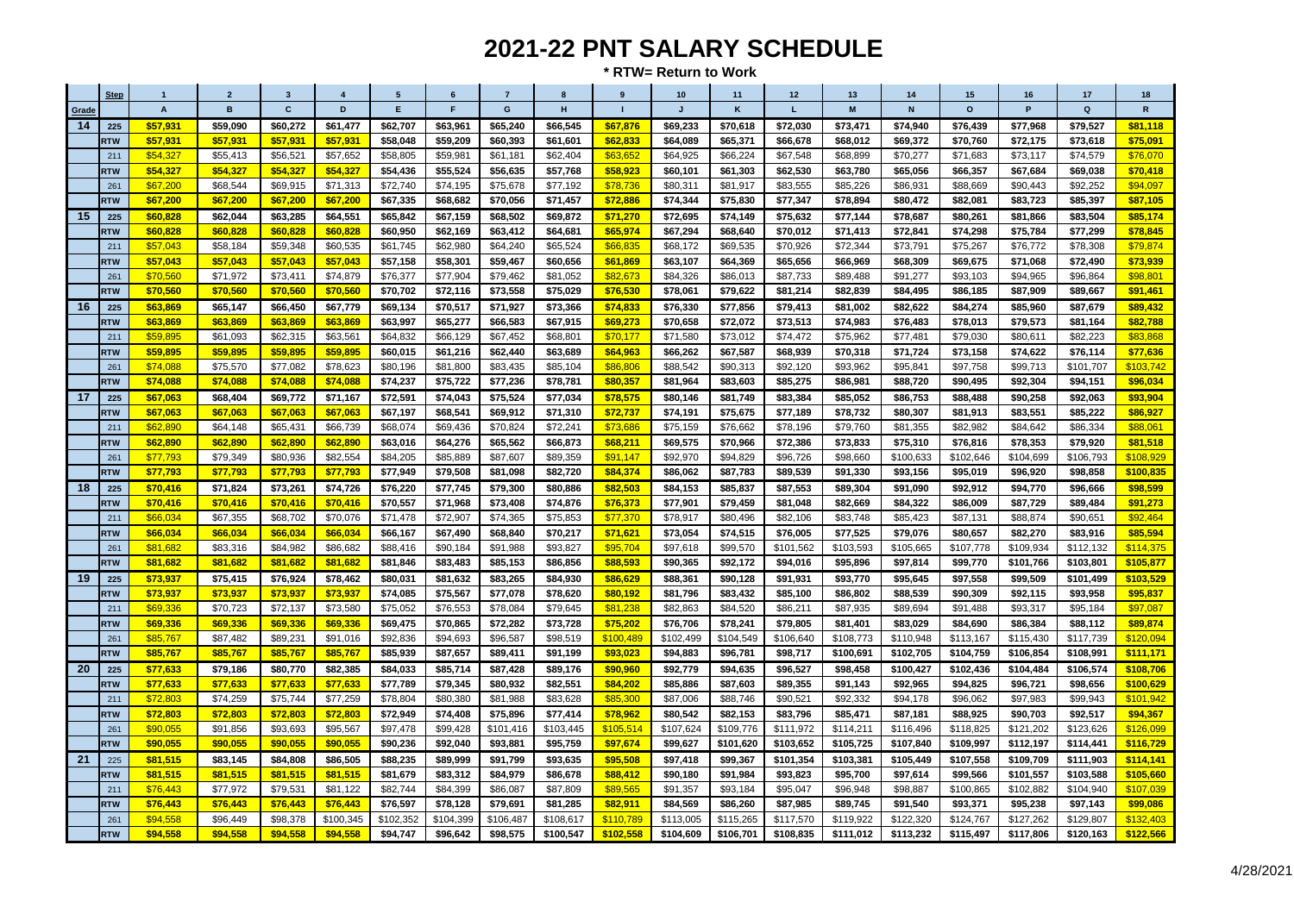|       | <b>Step</b> |                           | $\overline{2}$ | $\mathbf{3}$ |           | 5         | 6         | $\overline{7}$ | $\mathbf{a}$ |           | 10           | 11        | 12        | 13        | 14          | 15        | 16        | 17           | 18            |
|-------|-------------|---------------------------|----------------|--------------|-----------|-----------|-----------|----------------|--------------|-----------|--------------|-----------|-----------|-----------|-------------|-----------|-----------|--------------|---------------|
| Grade |             | $\boldsymbol{\mathsf{A}}$ | B              | $\mathbf{c}$ | D         | E         | F.        | G              | H            | п         | $\mathbf{J}$ | K         | L         | M         | $\mathsf N$ | $\circ$   | P         | $\mathbf{Q}$ | ${\mathbf R}$ |
| 14    | 225         | \$57,931                  | \$59,090       | \$60,272     | \$61,477  | \$62,707  | \$63,961  | \$65,240       | \$66,545     | \$67,876  | \$69,233     | \$70,618  | \$72,030  | \$73,471  | \$74,940    | \$76,439  | \$77,968  | \$79,527     | \$81,118      |
|       | <b>RTW</b>  | \$57,931                  | \$57,931       | \$57,931     | \$57,931  | \$58,048  | \$59,209  | \$60,393       | \$61,601     | \$62,833  | \$64,089     | \$65,371  | \$66,678  | \$68,012  | \$69,372    | \$70,760  | \$72,175  | \$73,618     | \$75,091      |
|       | 211         | \$54,327                  | \$55,413       | \$56,521     | \$57,652  | \$58,805  | \$59,981  | \$61,181       | \$62,404     | \$63.652  | \$64,925     | \$66,224  | \$67,548  | \$68,899  | \$70,277    | \$71,683  | \$73,117  | \$74,579     | \$76,070      |
|       | <b>RTW</b>  | \$54,327                  | \$54,327       | \$54,327     | \$54,327  | \$54,436  | \$55,524  | \$56,635       | \$57,768     | \$58,923  | \$60,101     | \$61,303  | \$62,530  | \$63,780  | \$65,056    | \$66,357  | \$67,684  | \$69,038     | \$70,418      |
|       | 261         | \$67,200                  | \$68,544       | \$69,915     | \$71,313  | \$72,740  | \$74,195  | \$75,678       | \$77,192     | \$78.736  | \$80,311     | \$81.917  | \$83.555  | \$85.226  | \$86,931    | \$88,669  | \$90,443  | \$92.252     | \$94.097      |
|       | <b>RTW</b>  | \$67,200                  | \$67,200       | \$67,200     | \$67,200  | \$67,335  | \$68,682  | \$70,056       | \$71,457     | \$72,886  | \$74,344     | \$75,830  | \$77,347  | \$78,894  | \$80,472    | \$82,081  | \$83,723  | \$85,397     | \$87,105      |
| 15    | 225         | \$60,828                  | \$62.044       | \$63.285     | \$64.551  | \$65,842  | \$67,159  | \$68,502       | \$69,872     | \$71,270  | \$72,695     | \$74,149  | \$75,632  | \$77,144  | \$78,687    | \$80.261  | \$81,866  | \$83.504     | \$85,174      |
|       | <b>RTW</b>  | \$60,828                  | \$60,828       | \$60,828     | \$60,828  | \$60,950  | \$62,169  | \$63,412       | \$64,681     | \$65,974  | \$67,294     | \$68,640  | \$70,012  | \$71,413  | \$72,841    | \$74,298  | \$75,784  | \$77,299     | \$78,845      |
|       | 211         | \$57,043                  | \$58,184       | \$59,348     | \$60,535  | \$61,745  | \$62,980  | \$64,240       | \$65.524     | \$66.835  | \$68,172     | \$69,535  | \$70,926  | \$72,344  | \$73,791    | \$75,267  | \$76,772  | \$78,308     | \$79,874      |
|       | <b>RTW</b>  | \$57,043                  | \$57,043       | \$57,043     | \$57,043  | \$57,158  | \$58,301  | \$59,467       | \$60,656     | \$61,869  | \$63,107     | \$64,369  | \$65,656  | \$66,969  | \$68,309    | \$69,675  | \$71,068  | \$72,490     | \$73,939      |
|       | 261         | \$70,560                  | \$71,972       | \$73,411     | \$74,879  | \$76,377  | \$77,904  | \$79,462       | \$81,052     | \$82,673  | \$84,326     | \$86,013  | \$87,733  | \$89,488  | \$91,277    | \$93,103  | \$94,965  | \$96,864     | \$98,801      |
|       | <b>RTW</b>  | \$70,560                  | \$70,560       | \$70,560     | \$70,560  | \$70,702  | \$72,116  | \$73,558       | \$75,029     | \$76,530  | \$78,061     | \$79,622  | \$81,214  | \$82,839  | \$84,495    | \$86,185  | \$87,909  | \$89,667     | \$91,461      |
| 16    | 225         | \$63,869                  | \$65,147       | \$66,450     | \$67,779  | \$69,134  | \$70,517  | \$71,927       | \$73,366     | \$74,833  | \$76,330     | \$77,856  | \$79,413  | \$81,002  | \$82,622    | \$84,274  | \$85,960  | \$87,679     | \$89,432      |
|       | RTW         | \$63,869                  | \$63,869       | \$63,869     | \$63,869  | \$63,997  | \$65,277  | \$66,583       | \$67,915     | \$69,273  | \$70,658     | \$72,072  | \$73,513  | \$74,983  | \$76,483    | \$78,013  | \$79,573  | \$81,164     | \$82,788      |
|       | 211         | \$59,895                  | \$61,093       | \$62,315     | \$63,561  | \$64,832  | \$66,129  | \$67,452       | \$68,801     | \$70,177  | \$71,580     | \$73,012  | \$74,472  | \$75,962  | \$77,481    | \$79,030  | \$80,611  | \$82,223     | \$83,868      |
|       | <b>RTW</b>  | \$59,895                  | \$59,895       | \$59,895     | \$59,895  | \$60,015  | \$61,216  | \$62,440       | \$63,689     | \$64,963  | \$66,262     | \$67,587  | \$68,939  | \$70,318  | \$71,724    | \$73,158  | \$74,622  | \$76,114     | \$77,636      |
|       | 261         | \$74,088                  | \$75,570       | \$77,082     | \$78,623  | \$80.196  | \$81,800  | \$83,435       | \$85,104     | \$86,806  | \$88.542     | \$90.313  | \$92.120  | \$93.962  | \$95.841    | \$97,758  | \$99.713  | \$101.707    | \$103,742     |
|       | <b>RTW</b>  | \$74,088                  | \$74,088       | \$74,088     | \$74,088  | \$74,237  | \$75,722  | \$77,236       | \$78,781     | \$80,357  | \$81,964     | \$83,603  | \$85,275  | \$86,981  | \$88,720    | \$90,495  | \$92,304  | \$94,151     | \$96,034      |
| 17    | 225         | \$67,063                  | \$68,404       | \$69.772     | \$71.167  | \$72,591  | \$74.043  | \$75,524       | \$77.034     | \$78,575  | \$80.146     | \$81.749  | \$83.384  | \$85.052  | \$86.753    | \$88.488  | \$90.258  | \$92.063     | \$93,904      |
|       | <b>RTW</b>  | \$67,063                  | \$67,063       | \$67,063     | \$67,063  | \$67,197  | \$68,541  | \$69,912       | \$71,310     | \$72,737  | \$74,191     | \$75,675  | \$77,189  | \$78,732  | \$80,307    | \$81,913  | \$83,551  | \$85,222     | \$86,927      |
|       | 211         | \$62,890                  | \$64,148       | \$65,431     | \$66,739  | \$68,074  | \$69,436  | \$70,824       | \$72,241     | \$73,686  | \$75,159     | \$76,662  | \$78,196  | \$79,760  | \$81,355    | \$82,982  | \$84,642  | \$86,334     | \$88,061      |
|       | <b>RTW</b>  | \$62,890                  | \$62,890       | \$62,890     | \$62,890  | \$63,016  | \$64,276  | \$65,562       | \$66,873     | \$68,211  | \$69,575     | \$70,966  | \$72,386  | \$73,833  | \$75,310    | \$76,816  | \$78,353  | \$79,920     | \$81,518      |
|       | 261         | \$77,793                  | \$79,349       | \$80,936     | \$82,554  | \$84,205  | \$85,889  | \$87,607       | \$89,359     | \$91,147  | \$92,970     | \$94,829  | \$96,726  | \$98,660  | \$100,633   | \$102,646 | \$104,699 | \$106,793    | \$108,929     |
|       | <b>RTW</b>  | \$77,793                  | \$77,793       | \$77,793     | \$77,793  | \$77,949  | \$79,508  | \$81,098       | \$82,720     | \$84,374  | \$86,062     | \$87,783  | \$89,539  | \$91,330  | \$93,156    | \$95,019  | \$96,920  | \$98,858     | \$100,835     |
| 18    | 225         | \$70,416                  | \$71,824       | \$73,261     | \$74,726  | \$76,220  | \$77,745  | \$79,300       | \$80,886     | \$82,503  | \$84,153     | \$85,837  | \$87,553  | \$89,304  | \$91.090    | \$92.912  | \$94,770  | \$96,666     | \$98,599      |
|       | <b>RTW</b>  | \$70,416                  | \$70,416       | \$70,416     | \$70,416  | \$70,557  | \$71,968  | \$73,408       | \$74,876     | \$76,373  | \$77,901     | \$79,459  | \$81,048  | \$82,669  | \$84,322    | \$86,009  | \$87,729  | \$89,484     | \$91,273      |
|       | 211         | \$66,034                  | \$67,355       | \$68,702     | \$70,076  | \$71,478  | \$72,907  | \$74,365       | \$75,853     | \$77,370  | \$78,917     | \$80,496  | \$82,106  | \$83,748  | \$85,423    | \$87,131  | \$88,874  | \$90,651     | \$92,464      |
|       | <b>RTW</b>  | \$66,034                  | \$66,034       | \$66,034     | \$66,034  | \$66,167  | \$67,490  | \$68,840       | \$70,217     | \$71,621  | \$73,054     | \$74,515  | \$76,005  | \$77,525  | \$79,076    | \$80,657  | \$82,270  | \$83,916     | \$85,594      |
|       | 261         | \$81,682                  | \$83,316       | \$84,982     | \$86,682  | \$88,416  | \$90,184  | \$91,988       | \$93,827     | \$95.704  | \$97,618     | \$99,570  | \$101,562 | \$103,593 | \$105,665   | \$107,778 | \$109,934 | \$112,132    | \$114,375     |
|       | <b>RTW</b>  | \$81,682                  | \$81,682       | \$81,682     | \$81,682  | \$81,846  | \$83,483  | \$85,153       | \$86,856     | \$88,593  | \$90,365     | \$92,172  | \$94,016  | \$95,896  | \$97,814    | \$99,770  | \$101,766 | \$103,801    | \$105,877     |
| 19    | 225         | \$73,937                  | \$75,415       | \$76,924     | \$78,462  | \$80,031  | \$81,632  | \$83,265       | \$84,930     | \$86,629  | \$88,361     | \$90,128  | \$91,931  | \$93,770  | \$95,645    | \$97,558  | \$99,509  | \$101,499    | \$103,529     |
|       | <b>RTW</b>  | \$73,937                  | \$73,937       | \$73,937     | \$73,937  | \$74,085  | \$75,567  | \$77,078       | \$78,620     | \$80,192  | \$81,796     | \$83,432  | \$85,100  | \$86,802  | \$88,539    | \$90,309  | \$92,115  | \$93,958     | \$95,837      |
|       | 211         | \$69,336                  | \$70,723       | \$72,137     | \$73,580  | \$75,052  | \$76,553  | \$78,084       | \$79,645     | \$81.238  | \$82.863     | \$84,520  | \$86.211  | \$87,935  | \$89,694    | \$91,488  | \$93,317  | \$95,184     | \$97,087      |
|       | <b>RTW</b>  | \$69,336                  | \$69,336       | \$69,336     | \$69,336  | \$69,475  | \$70,865  | \$72,282       | \$73,728     | \$75,202  | \$76,706     | \$78,241  | \$79,805  | \$81,401  | \$83,029    | \$84,690  | \$86,384  | \$88,112     | \$89,874      |
|       | 261         | \$85,767                  | \$87,482       | \$89,231     | \$91,016  | \$92,836  | \$94,693  | \$96,587       | \$98,519     | \$100,489 | \$102,499    | \$104,549 | \$106,640 | \$108,773 | \$110,948   | \$113,167 | \$115,430 | \$117,739    | \$120,094     |
|       | <b>RTW</b>  | \$85,767                  | \$85,767       | \$85,767     | \$85,767  | \$85,939  | \$87,657  | \$89,411       | \$91,199     | \$93,023  | \$94,883     | \$96,781  | \$98,717  | \$100,691 | \$102,705   | \$104,759 | \$106,854 | \$108,991    | \$111,171     |
| 20    | 225         | \$77,633                  | \$79,186       | \$80,770     | \$82,385  | \$84,033  | \$85,714  | \$87,428       | \$89,176     | \$90,960  | \$92,779     | \$94,635  | \$96,527  | \$98,458  | \$100,427   | \$102,436 | \$104,484 | \$106,574    | \$108,706     |
|       | <b>RTW</b>  | \$77,633                  | \$77,633       | \$77,633     | \$77,633  | \$77,789  | \$79,345  | \$80,932       | \$82,551     | \$84,202  | \$85,886     | \$87,603  | \$89,355  | \$91,143  | \$92,965    | \$94,825  | \$96,721  | \$98,656     | \$100,629     |
|       | 211         | \$72,803                  | \$74,259       | \$75,744     | \$77,259  | \$78,804  | \$80,380  | \$81,988       | \$83,628     | \$85,300  | \$87,006     | \$88,746  | \$90,521  | \$92,332  | \$94,178    | \$96,062  | \$97,983  | \$99,943     | \$101,942     |
|       | <b>RTW</b>  | \$72,803                  | \$72,803       | \$72,803     | \$72,803  | \$72,949  | \$74,408  | \$75,896       | \$77,414     | \$78,962  | \$80,542     | \$82,153  | \$83,796  | \$85,471  | \$87,181    | \$88,925  | \$90,703  | \$92,517     | \$94,367      |
|       | 261         | \$90,055                  | \$91,856       | \$93,693     | \$95,567  | \$97,478  | \$99,428  | \$101,416      | \$103,445    | \$105,514 | \$107,624    | \$109,776 | \$111,972 | \$114,211 | \$116,496   | \$118,825 | \$121,202 | \$123,626    | \$126,099     |
|       | <b>RTW</b>  | \$90.055                  | \$90.055       | \$90.055     | \$90,055  | \$90,236  | \$92.040  | \$93.881       | \$95,759     | \$97,674  | \$99,627     | \$101,620 | \$103.652 | \$105,725 | \$107.840   | \$109.997 | \$112,197 | \$114,441    | \$116,729     |
| 21    | 225         | \$81,515                  | \$83,145       | \$84,808     | \$86,505  | \$88,235  | \$89,999  | \$91,799       | \$93,635     | \$95,508  | \$97,418     | \$99,367  | \$101,354 | \$103,381 | \$105,449   | \$107,558 | \$109,709 | \$111,903    | \$114,141     |
|       | <b>RTW</b>  | \$81,515                  | \$81.515       | \$81.515     | \$81.515  | \$81.679  | \$83,312  | \$84.979       | \$86.678     | \$88,412  | \$90.180     | \$91.984  | \$93.823  | \$95.700  | \$97.614    | \$99.566  | \$101,557 | \$103,588    | \$105,660     |
|       | 211         | \$76,443                  | \$77,972       | \$79,531     | \$81,122  | \$82,744  | \$84,399  | \$86,087       | \$87,809     | \$89,565  | \$91,357     | \$93,184  | \$95,047  | \$96,948  | \$98,887    | \$100,865 | \$102,882 | \$104,940    | \$107,039     |
|       | <b>RTW</b>  | \$76,443                  | \$76,443       | \$76,443     | \$76,443  | \$76,597  | \$78,128  | \$79,691       | \$81.285     | \$82.911  | \$84.569     | \$86,260  | \$87.985  | \$89.745  | \$91.540    | \$93.371  | \$95.238  | \$97.143     | \$99,086      |
|       | 261         | \$94,558                  | \$96,449       | \$98,378     | \$100,345 | \$102,352 | \$104,399 | \$106,487      | \$108,617    | \$110,789 | \$113,005    | \$115,265 | \$117,570 | \$119,922 | \$122,320   | \$124,767 | \$127,262 | \$129,807    | \$132,403     |
|       | <b>RTW</b>  | \$94,558                  | \$94,558       | \$94,558     | \$94,558  | \$94,747  | \$96,642  | \$98,575       | \$100,547    | \$102,558 | \$104,609    | \$106,701 | \$108,835 | \$111,012 | \$113,232   | \$115,497 | \$117,806 | \$120,163    | \$122,566     |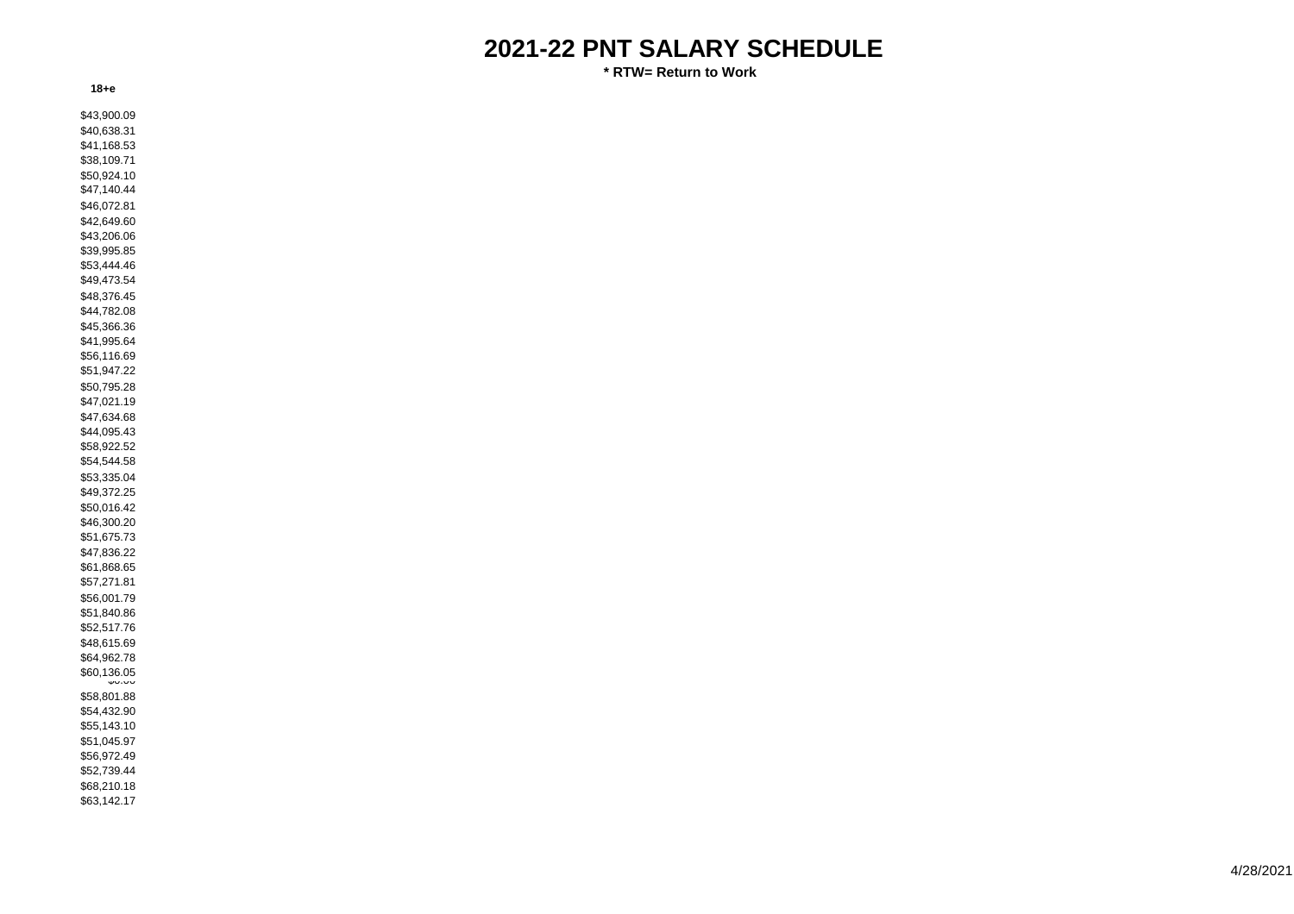**\* RTW= Return to Work**

| \$43,900.09 |  |  |  |
|-------------|--|--|--|
| \$40,638.31 |  |  |  |
|             |  |  |  |
| \$41,168.53 |  |  |  |
| \$38,109.71 |  |  |  |
| \$50,924.10 |  |  |  |
| \$47,140.44 |  |  |  |
|             |  |  |  |
| \$46,072.81 |  |  |  |
| \$42,649.60 |  |  |  |
| \$43,206.06 |  |  |  |
| \$39,995.85 |  |  |  |
| \$53,444.46 |  |  |  |
| \$49,473.54 |  |  |  |
|             |  |  |  |
| \$48,376.45 |  |  |  |
| \$44,782.08 |  |  |  |
| \$45,366.36 |  |  |  |
| \$41,995.64 |  |  |  |
| \$56,116.69 |  |  |  |
|             |  |  |  |
| \$51,947.22 |  |  |  |
| \$50,795.28 |  |  |  |
| \$47,021.19 |  |  |  |
| \$47,634.68 |  |  |  |
| \$44,095.43 |  |  |  |
|             |  |  |  |
| \$58,922.52 |  |  |  |
| \$54,544.58 |  |  |  |
| \$53,335.04 |  |  |  |
| \$49,372.25 |  |  |  |
| \$50,016.42 |  |  |  |
|             |  |  |  |
| \$46,300.20 |  |  |  |
| \$51,675.73 |  |  |  |
| \$47,836.22 |  |  |  |
| \$61,868.65 |  |  |  |
| \$57,271.81 |  |  |  |
| \$56,001.79 |  |  |  |
|             |  |  |  |
| \$51,840.86 |  |  |  |
| \$52,517.76 |  |  |  |
| \$48,615.69 |  |  |  |
| \$64,962.78 |  |  |  |
| \$60,136.05 |  |  |  |
| ww.uu       |  |  |  |
| \$58,801.88 |  |  |  |
| \$54,432.90 |  |  |  |
| \$55,143.10 |  |  |  |
|             |  |  |  |
| \$51,045.97 |  |  |  |
| \$56,972.49 |  |  |  |
| \$52,739.44 |  |  |  |
| \$68,210.18 |  |  |  |
| \$63,142.17 |  |  |  |
|             |  |  |  |
|             |  |  |  |

**18+e**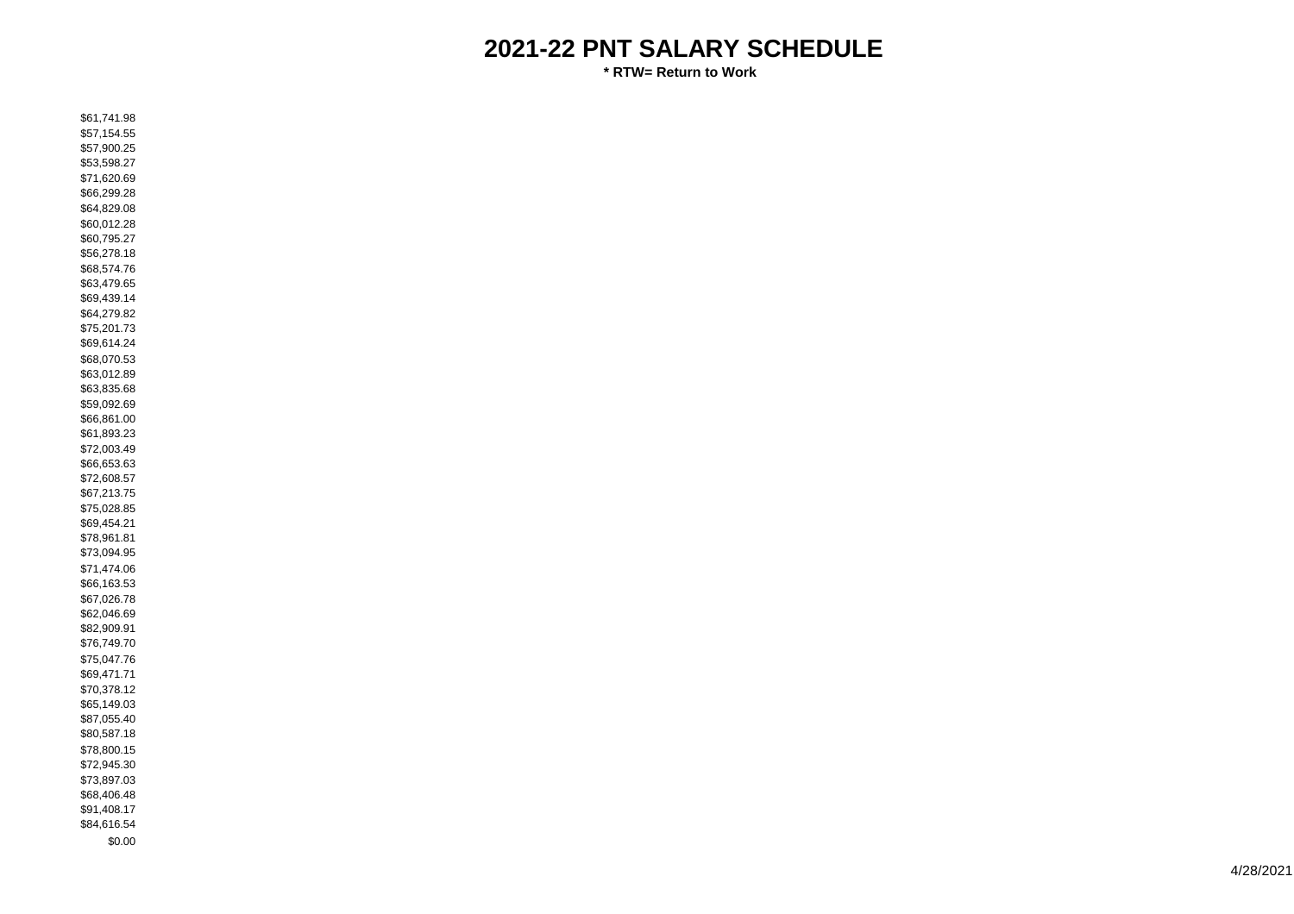| \$61,741.98 |  |  |
|-------------|--|--|
| \$57,154.55 |  |  |
| \$57,900.25 |  |  |
| \$53,598.27 |  |  |
|             |  |  |
| \$71,620.69 |  |  |
| \$66,299.28 |  |  |
| \$64,829.08 |  |  |
|             |  |  |
| \$60,012.28 |  |  |
| \$60,795.27 |  |  |
| \$56,278.18 |  |  |
| \$68,574.76 |  |  |
| \$63,479.65 |  |  |
|             |  |  |
| \$69,439.14 |  |  |
| \$64,279.82 |  |  |
| \$75,201.73 |  |  |
| \$69,614.24 |  |  |
| \$68,070.53 |  |  |
|             |  |  |
| \$63,012.89 |  |  |
| \$63,835.68 |  |  |
| \$59,092.69 |  |  |
| \$66,861.00 |  |  |
| \$61,893.23 |  |  |
| \$72,003.49 |  |  |
|             |  |  |
| \$66,653.63 |  |  |
| \$72,608.57 |  |  |
| \$67,213.75 |  |  |
| \$75,028.85 |  |  |
| \$69,454.21 |  |  |
|             |  |  |
| \$78,961.81 |  |  |
| \$73,094.95 |  |  |
| \$71,474.06 |  |  |
| \$66,163.53 |  |  |
| \$67,026.78 |  |  |
| \$62,046.69 |  |  |
| \$82,909.91 |  |  |
|             |  |  |
| \$76,749.70 |  |  |
| \$75,047.76 |  |  |
| \$69,471.71 |  |  |
| \$70,378.12 |  |  |
| \$65,149.03 |  |  |
| \$87,055.40 |  |  |
|             |  |  |
| \$80,587.18 |  |  |
| \$78,800.15 |  |  |
| \$72,945.30 |  |  |
| \$73,897.03 |  |  |
| \$68,406.48 |  |  |
|             |  |  |
| \$91,408.17 |  |  |
| \$84,616.54 |  |  |
| \$0.00      |  |  |
|             |  |  |